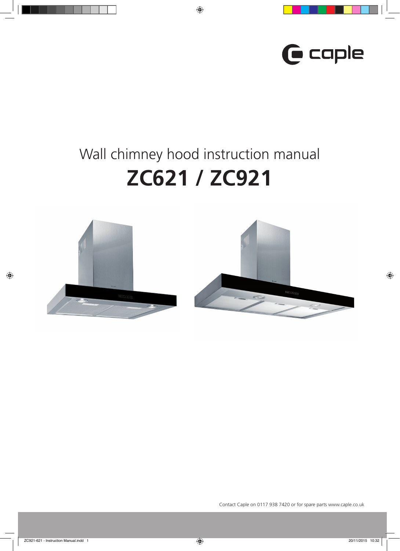

# Wall chimney hood instruction manual **ZC621 / ZC921**

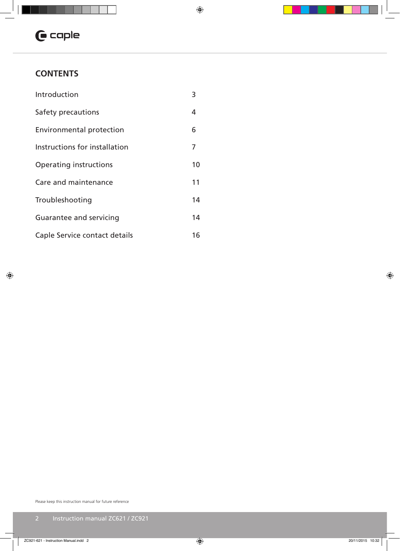

## **CONTENTS**

| Introduction                  | 3  |
|-------------------------------|----|
| Safety precautions            | 4  |
| Environmental protection      | 6  |
| Instructions for installation | 7  |
| Operating instructions        | 10 |
| Care and maintenance          | 11 |
| Troubleshooting               | 14 |
| Guarantee and servicing       | 14 |
| Caple Service contact details | 16 |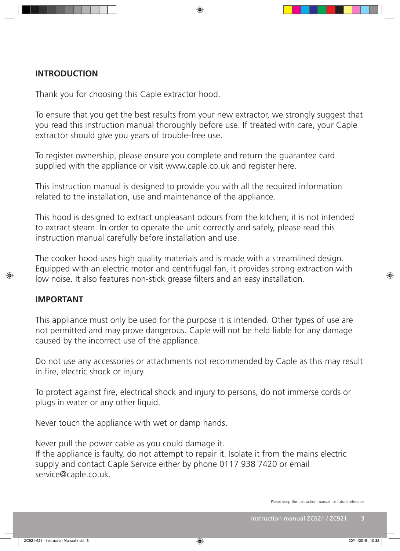## **INTRODUCTION**

Thank you for choosing this Caple extractor hood.

To ensure that you get the best results from your new extractor, we strongly suggest that you read this instruction manual thoroughly before use. If treated with care, your Caple extractor should give you years of trouble-free use.

To register ownership, please ensure you complete and return the guarantee card supplied with the appliance or visit www.caple.co.uk and register here.

This instruction manual is designed to provide you with all the required information related to the installation, use and maintenance of the appliance.

This hood is designed to extract unpleasant odours from the kitchen; it is not intended to extract steam. In order to operate the unit correctly and safely, please read this instruction manual carefully before installation and use.

The cooker hood uses high quality materials and is made with a streamlined design. Equipped with an electric motor and centrifugal fan, it provides strong extraction with low noise. It also features non-stick grease filters and an easy installation.

## **IMPORTANT**

This appliance must only be used for the purpose it is intended. Other types of use are not permitted and may prove dangerous. Caple will not be held liable for any damage caused by the incorrect use of the appliance.

Do not use any accessories or attachments not recommended by Caple as this may result in fire, electric shock or injury.

To protect against fire, electrical shock and injury to persons, do not immerse cords or plugs in water or any other liquid.

Never touch the appliance with wet or damp hands.

Never pull the power cable as you could damage it. If the appliance is faulty, do not attempt to repair it. Isolate it from the mains electric supply and contact Caple Service either by phone 0117 938 7420 or email service@caple.co.uk.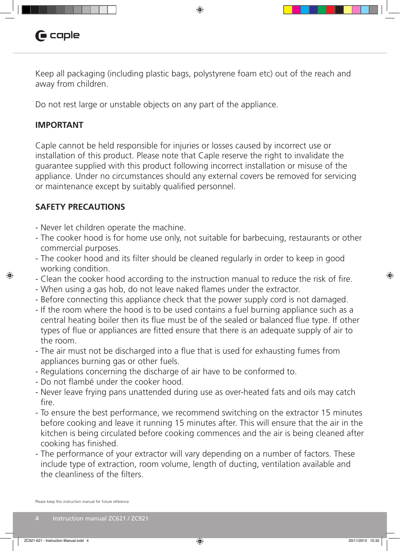

Keep all packaging (including plastic bags, polystyrene foam etc) out of the reach and away from children.

Do not rest large or unstable objects on any part of the appliance.

## **IMPORTANT**

Caple cannot be held responsible for injuries or losses caused by incorrect use or installation of this product. Please note that Caple reserve the right to invalidate the guarantee supplied with this product following incorrect installation or misuse of the appliance. Under no circumstances should any external covers be removed for servicing or maintenance except by suitably qualified personnel.

## **SAFETY PRECAUTIONS**

- Never let children operate the machine.
- The cooker hood is for home use only, not suitable for barbecuing, restaurants or other commercial purposes.
- The cooker hood and its filter should be cleaned regularly in order to keep in good working condition.
- Clean the cooker hood according to the instruction manual to reduce the risk of fire.
- When using a gas hob, do not leave naked flames under the extractor.
- Before connecting this appliance check that the power supply cord is not damaged.
- If the room where the hood is to be used contains a fuel burning appliance such as a central heating boiler then its flue must be of the sealed or balanced flue type. If other types of flue or appliances are fitted ensure that there is an adequate supply of air to the room.
- The air must not be discharged into a flue that is used for exhausting fumes from appliances burning gas or other fuels.
- Regulations concerning the discharge of air have to be conformed to.
- Do not flambé under the cooker hood.
- Never leave frying pans unattended during use as over-heated fats and oils may catch fire.
- To ensure the best performance, we recommend switching on the extractor 15 minutes before cooking and leave it running 15 minutes after. This will ensure that the air in the kitchen is being circulated before cooking commences and the air is being cleaned after cooking has finished.
- The performance of your extractor will vary depending on a number of factors. These include type of extraction, room volume, length of ducting, ventilation available and the cleanliness of the filters.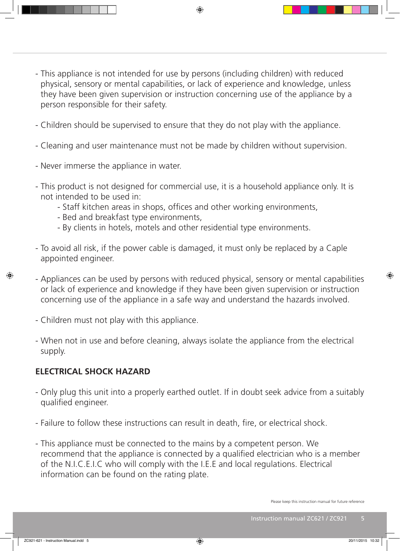- This appliance is not intended for use by persons (including children) with reduced physical, sensory or mental capabilities, or lack of experience and knowledge, unless they have been given supervision or instruction concerning use of the appliance by a person responsible for their safety.
- Children should be supervised to ensure that they do not play with the appliance.
- Cleaning and user maintenance must not be made by children without supervision.
- Never immerse the appliance in water.
- This product is not designed for commercial use, it is a household appliance only. It is not intended to be used in:
	- Staff kitchen areas in shops, offices and other working environments,
	- Bed and breakfast type environments,
	- By clients in hotels, motels and other residential type environments.
- To avoid all risk, if the power cable is damaged, it must only be replaced by a Caple appointed engineer.
- Appliances can be used by persons with reduced physical, sensory or mental capabilities or lack of experience and knowledge if they have been given supervision or instruction concerning use of the appliance in a safe way and understand the hazards involved.
- Children must not play with this appliance.
- When not in use and before cleaning, always isolate the appliance from the electrical supply.

## **ELECTRICAL SHOCK HAZARD**

- Only plug this unit into a properly earthed outlet. If in doubt seek advice from a suitably qualified engineer.
- Failure to follow these instructions can result in death, fire, or electrical shock.
- This appliance must be connected to the mains by a competent person. We recommend that the appliance is connected by a qualified electrician who is a member of the N.I.C.E.I.C who will comply with the I.E.E and local regulations. Electrical information can be found on the rating plate.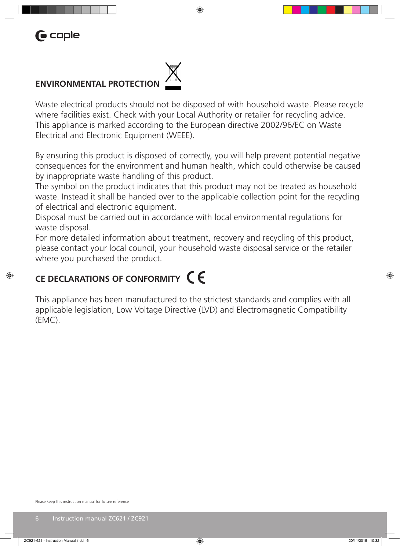## **ENVIRONMENTAL PROTECTION**

Waste electrical products should not be disposed of with household waste. Please recycle where facilities exist. Check with your Local Authority or retailer for recycling advice. This appliance is marked according to the European directive 2002/96/EC on Waste Electrical and Electronic Equipment (WEEE).

By ensuring this product is disposed of correctly, you will help prevent potential negative consequences for the environment and human health, which could otherwise be caused by inappropriate waste handling of this product.

The symbol on the product indicates that this product may not be treated as household waste. Instead it shall be handed over to the applicable collection point for the recycling of electrical and electronic equipment.

Disposal must be carried out in accordance with local environmental regulations for waste disposal.

For more detailed information about treatment, recovery and recycling of this product, please contact your local council, your household waste disposal service or the retailer where you purchased the product.

## **CE DECLARATIONS OF CONFORMITY**

This appliance has been manufactured to the strictest standards and complies with all applicable legislation, Low Voltage Directive (LVD) and Electromagnetic Compatibility (EMC).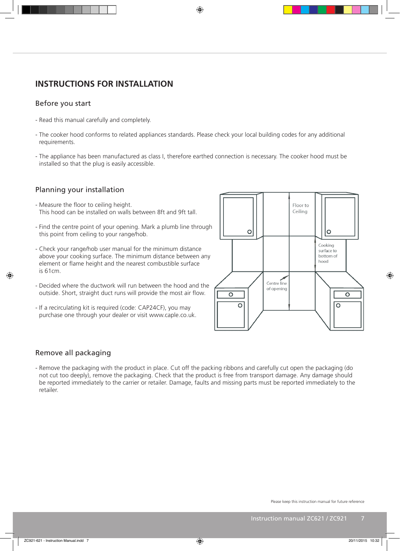## **INSTRUCTIONS FOR INSTALLATION**

## Before you start

- Read this manual carefully and completely.
- The cooker hood conforms to related appliances standards. Please check your local building codes for any additional requirements.
- The appliance has been manufactured as class I, therefore earthed connection is necessary. The cooker hood must be installed so that the plug is easily accessible.

#### Planning your installation

- Measure the floor to ceiling height. This hood can be installed on walls between 8ft and 9ft tall.
- Find the centre point of your opening. Mark a plumb line through this point from ceiling to your range/hob.
- Check your range/hob user manual for the minimum distance above your cooking surface. The minimum distance between any element or flame height and the nearest combustible surface is 61cm.
- Decided where the ductwork will run between the hood and the outside. Short, straight duct runs will provide the most air flow.
- If a recirculating kit is required (code: CAP24CF), you may purchase one through your dealer or visit www.caple.co.uk.



#### Remove all packaging

- Remove the packaging with the product in place. Cut off the packing ribbons and carefully cut open the packaging (do not cut too deeply), remove the packaging. Check that the product is free from transport damage. Any damage should be reported immediately to the carrier or retailer. Damage, faults and missing parts must be reported immediately to the retailer.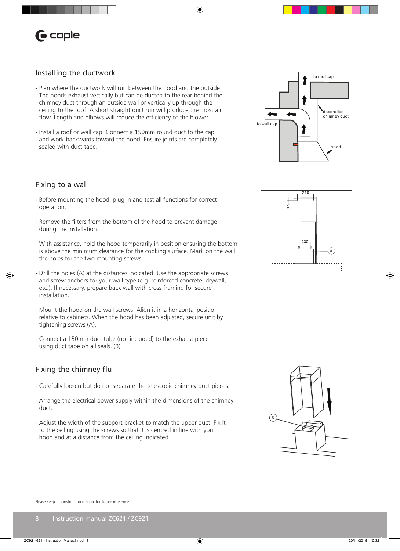## Installing the ductwork

- Plan where the ductwork will run between the hood and the outside. The hoods exhaust vertically but can be ducted to the rear behind the chimney duct through an outside wall or vertically up through the ceiling to the roof. A short straight duct run will produce the most air flow. Length and elbows will reduce the efficiency of the blower.
- Install a roof or wall cap. Connect a 150mm round duct to the cap and work backwards toward the hood. Ensure joints are completely sealed with duct tape.

## Fixing to a wall

- Before mounting the hood, plug in and test all functions for correct operation.
- Remove the filters from the bottom of the hood to prevent damage during the installation.
- With assistance, hold the hood temporarily in position ensuring the bottom is above the minimum clearance for the cooking surface. Mark on the wall the holes for the two mounting screws.
- Drill the holes (A) at the distances indicated. Use the appropriate screws and screw anchors for your wall type (e.g. reinforced concrete, drywall, etc.). If necessary, prepare back wall with cross framing for secure installation.
- Mount the hood on the wall screws. Align it in a horizontal position relative to cabinets. When the hood has been adjusted, secure unit by tightening screws (A).
- Connect a 150mm duct tube (not included) to the exhaust piece using duct tape on all seals. (B)

## Fixing the chimney flu

- Carefully loosen but do not separate the telescopic chimney duct pieces.
- Arrange the electrical power supply within the dimensions of the chimney duct.
- Adjust the width of the support bracket to match the upper duct. Fix it to the ceiling using the screws so that it is centred in line with your hood and at a distance from the ceiling indicated.





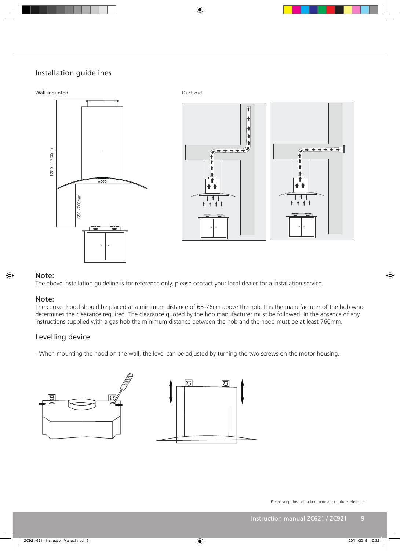## Installation guidelines



#### Note:

#### Note:

The above installation guideline is for reference only, please contact your local dealer for a installation service.<br> **Note:**<br>
The cooker hood should be placed at a minimum distance of 65-76cm above the hob. It is the manu The cooker hood should be placed at a minimum distance of 65-76cm above the hob. It is the manufacturer of the hob who determines the clearance required. The clearance quoted by the hob manufacturer must be followed. In the absence of any instructions supplied with a gas hob the minimum distance between the hob and the hood must be at least 760mm.

## Levelling device

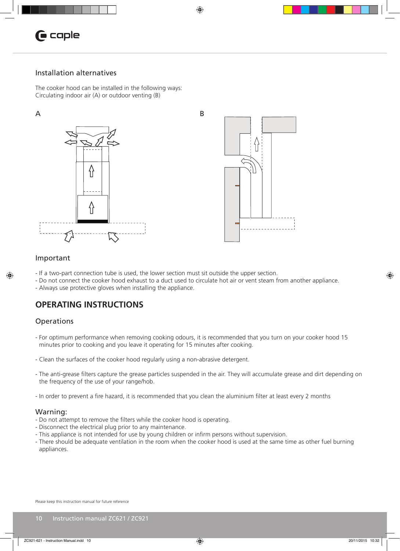

## Installation alternatives

The cooker hood can be installed in the following ways: Circulating indoor air (A) or outdoor venting (B)





#### Important

- If a two-part connection tube is used, the lower section must sit outside the upper section.
- Do not connect the cooker hood exhaust to a duct used to circulate hot air or vent steam from another appliance.

- Always use protective gloves when installing the appliance.

## **OPERATING INSTRUCTIONS**

#### **Operations**

- For optimum performance when removing cooking odours, it is recommended that you turn on your cooker hood 15 minutes prior to cooking and you leave it operating for 15 minutes after cooking.
- Clean the surfaces of the cooker hood regularly using a non-abrasive detergent.
- The anti-grease filters capture the grease particles suspended in the air. They will accumulate grease and dirt depending on the frequency of the use of your range/hob.
- In order to prevent a fire hazard, it is recommended that you clean the aluminium filter at least every 2 months

#### Warning:

- Do not attempt to remove the filters while the cooker hood is operating.
- Disconnect the electrical plug prior to any maintenance.
- This appliance is not intended for use by young children or infirm persons without supervision.
- There should be adequate ventilation in the room when the cooker hood is used at the same time as other fuel burning appliances.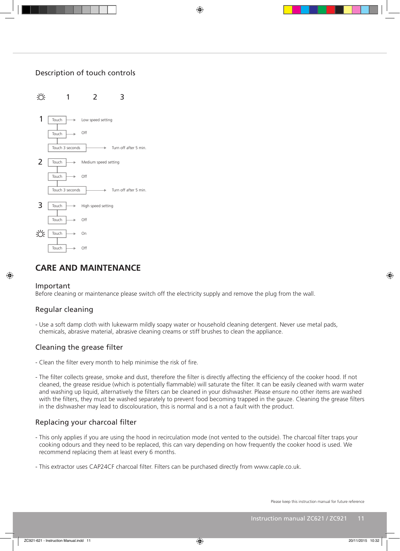## Description of touch controls



## **CARE AND MAINTENANCE**

#### Important

Before cleaning or maintenance please switch off the electricity supply and remove the plug from the wall.

## Regular cleaning

- Use a soft damp cloth with lukewarm mildly soapy water or household cleaning detergent. Never use metal pads, chemicals, abrasive material, abrasive cleaning creams or stiff brushes to clean the appliance.

## Cleaning the grease filter

- Clean the filter every month to help minimise the risk of fire.
- The filter collects grease, smoke and dust, therefore the filter is directly affecting the efficiency of the cooker hood. If not cleaned, the grease residue (which is potentially flammable) will saturate the filter. It can be easily cleaned with warm water and washing up liquid, alternatively the filters can be cleaned in your dishwasher. Please ensure no other items are washed with the filters, they must be washed separately to prevent food becoming trapped in the gauze. Cleaning the grease filters in the dishwasher may lead to discolouration, this is normal and is a not a fault with the product.

## Replacing your charcoal filter

- This only applies if you are using the hood in recirculation mode (not vented to the outside). The charcoal filter traps your cooking odours and they need to be replaced, this can vary depending on how frequently the cooker hood is used. We recommend replacing them at least every 6 months.
- This extractor uses CAP24CF charcoal filter. Filters can be purchased directly from www.caple.co.uk.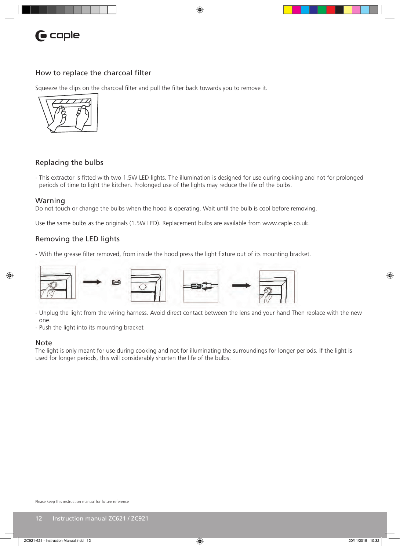

#### How to replace the charcoal filter

Squeeze the clips on the charcoal filter and pull the filter back towards you to remove it.



#### Replacing the bulbs

- This extractor is fitted with two 1.5W LED lights. The illumination is designed for use during cooking and not for prolonged periods of time to light the kitchen. Prolonged use of the lights may reduce the life of the bulbs.

#### Warning

Do not touch or change the bulbs when the hood is operating. Wait until the bulb is cool before removing.

Use the same bulbs as the originals (1.5W LED). Replacement bulbs are available from www.caple.co.uk.

#### Removing the LED lights

- With the grease filter removed, from inside the hood press the light fixture out of its mounting bracket.



- Unplug the light from the wiring harness. Avoid direct contact between the lens and your hand Then replace with the new one.

- Push the light into its mounting bracket

#### Note

The light is only meant for use during cooking and not for illuminating the surroundings for longer periods. If the light is used for longer periods, this will considerably shorten the life of the bulbs.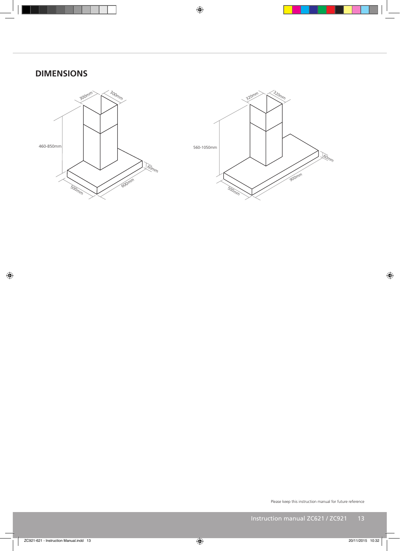## **DIMENSIONS**



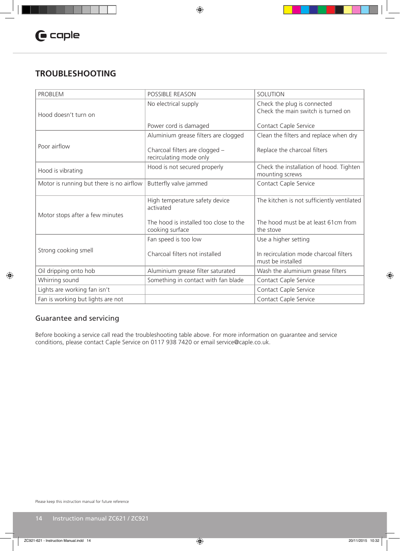## **TROUBLESHOOTING**

| <b>PROBLEM</b>                           | <b>POSSIBLE REASON</b>                                    | <b>SOLUTION</b>                                                   |
|------------------------------------------|-----------------------------------------------------------|-------------------------------------------------------------------|
| Hood doesn't turn on                     | No electrical supply                                      | Check the plug is connected<br>Check the main switch is turned on |
|                                          | Power cord is damaged                                     | Contact Caple Service                                             |
|                                          | Aluminium grease filters are clogged                      | Clean the filters and replace when dry                            |
| Poor airflow                             | Charcoal filters are clogged -<br>recirculating mode only | Replace the charcoal filters                                      |
| Hood is vibrating                        | Hood is not secured properly                              | Check the installation of hood. Tighten<br>mounting screws        |
| Motor is running but there is no airflow | Butterfly valve jammed                                    | Contact Caple Service                                             |
| Motor stops after a few minutes          | High temperature safety device<br>activated               | The kitchen is not sufficiently ventilated                        |
|                                          | The hood is installed too close to the<br>cooking surface | The hood must be at least 61cm from<br>the stove                  |
|                                          | Fan speed is too low                                      | Use a higher setting                                              |
| Strong cooking smell                     | Charcoal filters not installed                            | In recirculation mode charcoal filters<br>must be installed       |
| Oil dripping onto hob                    | Aluminium grease filter saturated                         | Wash the aluminium grease filters                                 |
| Whirring sound                           | Something in contact with fan blade                       | Contact Caple Service                                             |
| Lights are working fan isn't             |                                                           | Contact Caple Service                                             |
| Fan is working but lights are not        |                                                           | Contact Caple Service                                             |

## Guarantee and servicing

Before booking a service call read the troubleshooting table above. For more information on guarantee and service conditions, please contact Caple Service on 0117 938 7420 or email service@caple.co.uk.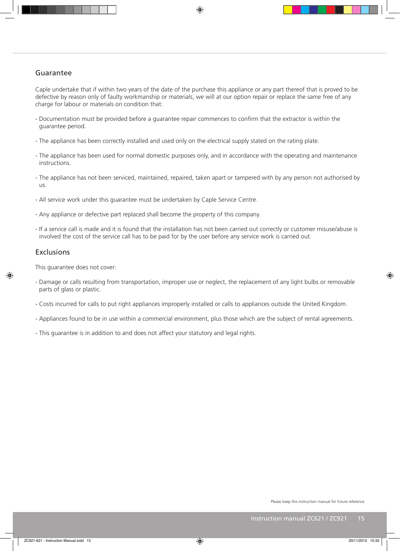## Guarantee

Caple undertake that if within two years of the date of the purchase this appliance or any part thereof that is proved to be defective by reason only of faulty workmanship or materials, we will at our option repair or replace the same free of any charge for labour or materials on condition that:

- Documentation must be provided before a guarantee repair commences to confirm that the extractor is within the guarantee period.
- The appliance has been correctly installed and used only on the electrical supply stated on the rating plate.
- The appliance has been used for normal domestic purposes only, and in accordance with the operating and maintenance instructions.
- The appliance has not been serviced, maintained, repaired, taken apart or tampered with by any person not authorised by us.
- All service work under this guarantee must be undertaken by Caple Service Centre.
- Any appliance or defective part replaced shall become the property of this company.
- If a service call is made and it is found that the installation has not been carried out correctly or customer misuse/abuse is involved the cost of the service call has to be paid for by the user before any service work is carried out.

#### Exclusions

This guarantee does not cover:

- Damage or calls resulting from transportation, improper use or neglect, the replacement of any light bulbs or removable parts of glass or plastic.
- Costs incurred for calls to put right appliances improperly installed or calls to appliances outside the United Kingdom.
- Appliances found to be in use within a commercial environment, plus those which are the subject of rental agreements.
- This guarantee is in addition to and does not affect your statutory and legal rights.